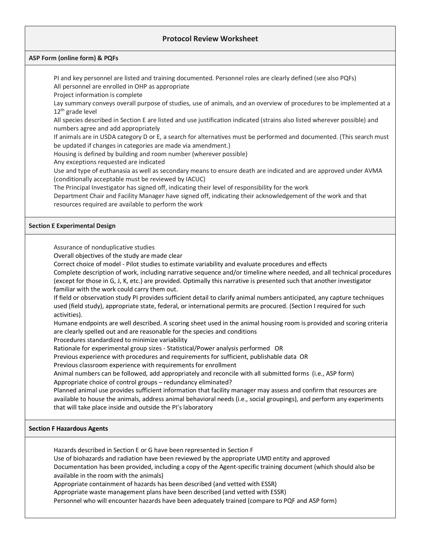## **Protocol Review Worksheet**

## **ASP Form (online form) & PQFs**

 PI and key personnel are listed and training documented. Personnel roles are clearly defined (see also PQFs) All personnel are enrolled in OHP as appropriate

Project information is complete

 Lay summary conveys overall purpose of studies, use of animals, and an overview of procedures to be implemented at a  $12<sup>th</sup>$  grade level

 All species described in Section E are listed and use justification indicated (strains also listed wherever possible) and numbers agree and add appropriately

 If animals are in USDA category D or E, a search for alternatives must be performed and documented. (This search must be updated if changes in categories are made via amendment.)

Housing is defined by building and room number (wherever possible)

Any exceptions requested are indicated

 Use and type of euthanasia as well as secondary means to ensure death are indicated and are approved under AVMA (conditionally acceptable must be reviewed by IACUC)

The Principal Investigator has signed off, indicating their level of responsibility for the work

 Department Chair and Facility Manager have signed off, indicating their acknowledgement of the work and that resources required are available to perform the work

## **Section E Experimental Design**

Assurance of nonduplicative studies

Overall objectives of the study are made clear

Correct choice of model - Pilot studies to estimate variability and evaluate procedures and effects

 Complete description of work, including narrative sequence and/or timeline where needed, and all technical procedures (except for those in G, J, K, etc.) are provided. Optimally this narrative is presented such that another investigator familiar with the work could carry them out.

 If field or observation study PI provides sufficient detail to clarify animal numbers anticipated, any capture techniques used (field study), appropriate state, federal, or international permits are procured. (Section I required for such activities).

 Humane endpoints are well described. A scoring sheet used in the animal housing room is provided and scoring criteria are clearly spelled out and are reasonable for the species and conditions

Procedures standardized to minimize variability

Rationale for experimental group sizes - Statistical/Power analysis performed OR

Previous experience with procedures and requirements for sufficient, publishable data OR

Previous classroom experience with requirements for enrollment

 Animal numbers can be followed, add appropriately and reconcile with all submitted forms (i.e., ASP form) Appropriate choice of control groups – redundancy eliminated?

 Planned animal use provides sufficient information that facility manager may assess and confirm that resources are available to house the animals, address animal behavioral needs (i.e., social groupings), and perform any experiments that will take place inside and outside the PI's laboratory

## **Section F Hazardous Agents**

Hazards described in Section E or G have been represented in Section F

Use of biohazards and radiation have been reviewed by the appropriate UMD entity and approved

 Documentation has been provided, including a copy of the Agent-specific training document (which should also be available in the room with the animals)

Appropriate containment of hazards has been described (and vetted with ESSR)

Appropriate waste management plans have been described (and vetted with ESSR)

Personnel who will encounter hazards have been adequately trained (compare to PQF and ASP form)